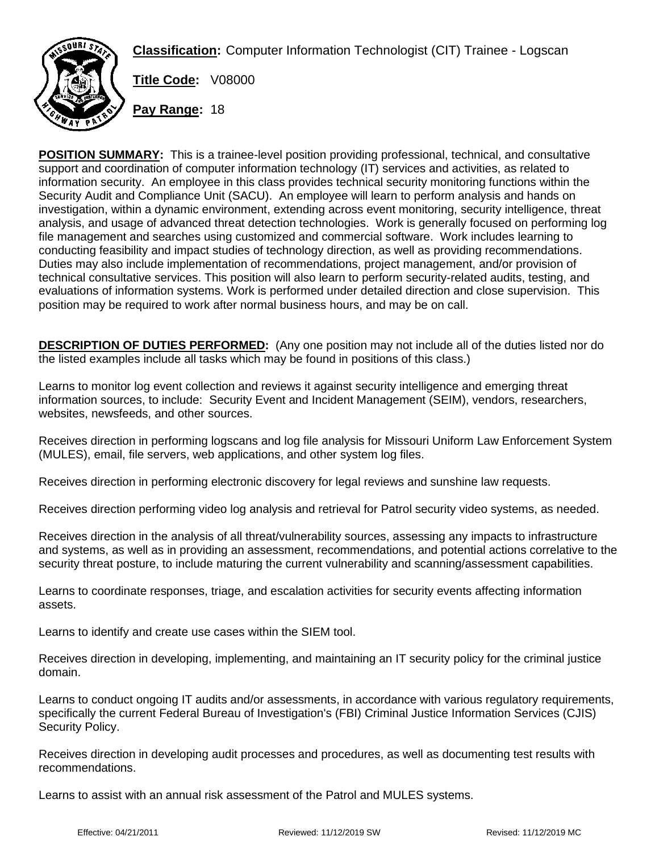**Classification:** Computer Information Technologist (CIT) Trainee - Logscan



**Title Code:** V08000

**Pay Range:** 18

**POSITION SUMMARY:** This is a trainee-level position providing professional, technical, and consultative support and coordination of computer information technology (IT) services and activities, as related to information security. An employee in this class provides technical security monitoring functions within the Security Audit and Compliance Unit (SACU). An employee will learn to perform analysis and hands on investigation, within a dynamic environment, extending across event monitoring, security intelligence, threat analysis, and usage of advanced threat detection technologies. Work is generally focused on performing log file management and searches using customized and commercial software. Work includes learning to conducting feasibility and impact studies of technology direction, as well as providing recommendations. Duties may also include implementation of recommendations, project management, and/or provision of technical consultative services. This position will also learn to perform security-related audits, testing, and evaluations of information systems. Work is performed under detailed direction and close supervision. This position may be required to work after normal business hours, and may be on call.

**DESCRIPTION OF DUTIES PERFORMED:** (Any one position may not include all of the duties listed nor do the listed examples include all tasks which may be found in positions of this class.)

Learns to monitor log event collection and reviews it against security intelligence and emerging threat information sources, to include: Security Event and Incident Management (SEIM), vendors, researchers, websites, newsfeeds, and other sources.

Receives direction in performing logscans and log file analysis for Missouri Uniform Law Enforcement System (MULES), email, file servers, web applications, and other system log files.

Receives direction in performing electronic discovery for legal reviews and sunshine law requests.

Receives direction performing video log analysis and retrieval for Patrol security video systems, as needed.

Receives direction in the analysis of all threat/vulnerability sources, assessing any impacts to infrastructure and systems, as well as in providing an assessment, recommendations, and potential actions correlative to the security threat posture, to include maturing the current vulnerability and scanning/assessment capabilities.

Learns to coordinate responses, triage, and escalation activities for security events affecting information assets.

Learns to identify and create use cases within the SIEM tool.

Receives direction in developing, implementing, and maintaining an IT security policy for the criminal justice domain.

Learns to conduct ongoing IT audits and/or assessments, in accordance with various regulatory requirements, specifically the current Federal Bureau of Investigation's (FBI) Criminal Justice Information Services (CJIS) Security Policy.

Receives direction in developing audit processes and procedures, as well as documenting test results with recommendations.

Learns to assist with an annual risk assessment of the Patrol and MULES systems.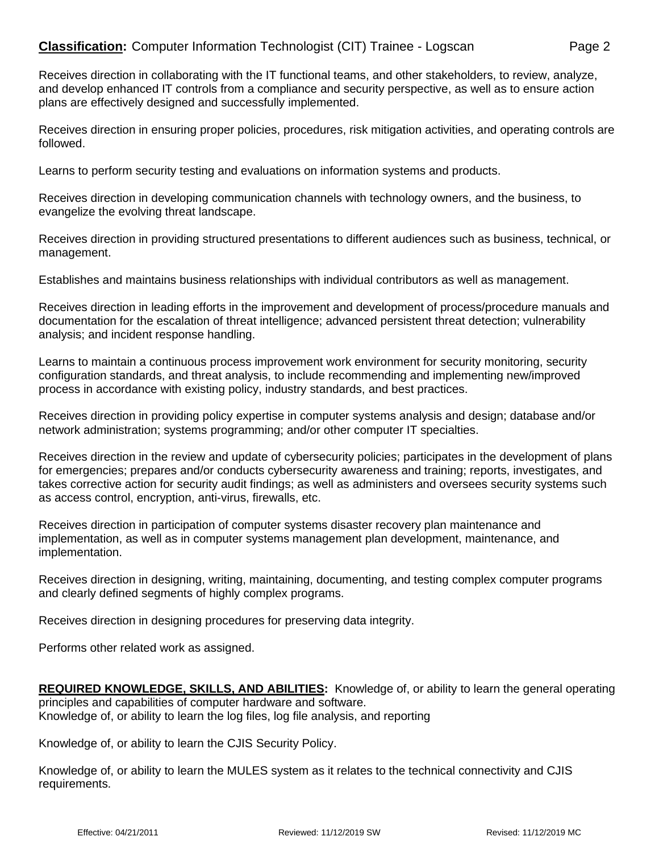## **Classification:** Computer Information Technologist (CIT) Trainee - Logscan Page 2

Receives direction in collaborating with the IT functional teams, and other stakeholders, to review, analyze, and develop enhanced IT controls from a compliance and security perspective, as well as to ensure action plans are effectively designed and successfully implemented.

Receives direction in ensuring proper policies, procedures, risk mitigation activities, and operating controls are followed.

Learns to perform security testing and evaluations on information systems and products.

Receives direction in developing communication channels with technology owners, and the business, to evangelize the evolving threat landscape.

Receives direction in providing structured presentations to different audiences such as business, technical, or management.

Establishes and maintains business relationships with individual contributors as well as management.

Receives direction in leading efforts in the improvement and development of process/procedure manuals and documentation for the escalation of threat intelligence; advanced persistent threat detection; vulnerability analysis; and incident response handling.

Learns to maintain a continuous process improvement work environment for security monitoring, security configuration standards, and threat analysis, to include recommending and implementing new/improved process in accordance with existing policy, industry standards, and best practices.

Receives direction in providing policy expertise in computer systems analysis and design; database and/or network administration; systems programming; and/or other computer IT specialties.

Receives direction in the review and update of cybersecurity policies; participates in the development of plans for emergencies; prepares and/or conducts cybersecurity awareness and training; reports, investigates, and takes corrective action for security audit findings; as well as administers and oversees security systems such as access control, encryption, anti-virus, firewalls, etc.

Receives direction in participation of computer systems disaster recovery plan maintenance and implementation, as well as in computer systems management plan development, maintenance, and implementation.

Receives direction in designing, writing, maintaining, documenting, and testing complex computer programs and clearly defined segments of highly complex programs.

Receives direction in designing procedures for preserving data integrity.

Performs other related work as assigned.

**REQUIRED KNOWLEDGE, SKILLS, AND ABILITIES:** Knowledge of, or ability to learn the general operating principles and capabilities of computer hardware and software. Knowledge of, or ability to learn the log files, log file analysis, and reporting

Knowledge of, or ability to learn the CJIS Security Policy.

Knowledge of, or ability to learn the MULES system as it relates to the technical connectivity and CJIS requirements.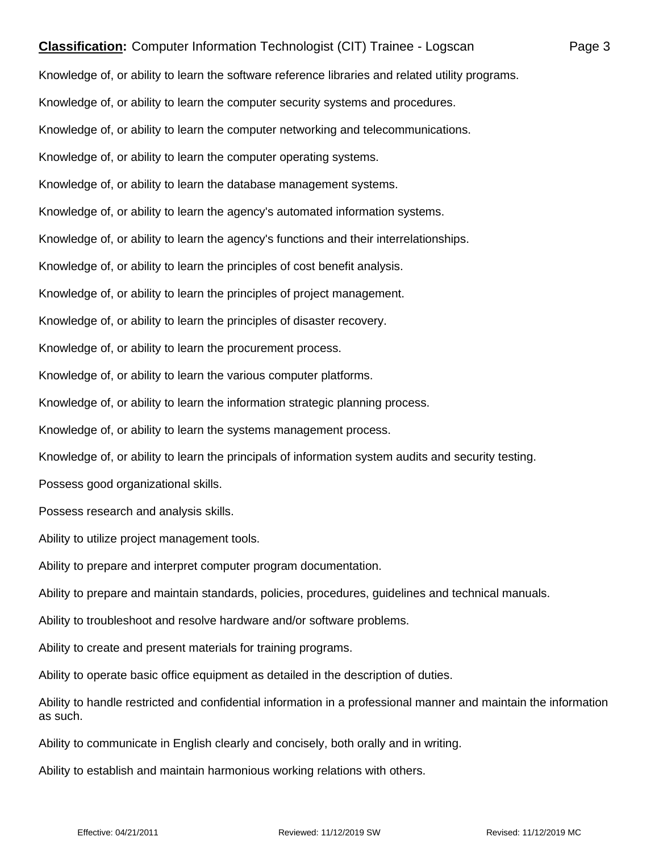## **Classification:** Computer Information Technologist (CIT) Trainee - Logscan Page 3

Knowledge of, or ability to learn the software reference libraries and related utility programs. Knowledge of, or ability to learn the computer security systems and procedures. Knowledge of, or ability to learn the computer networking and telecommunications. Knowledge of, or ability to learn the computer operating systems. Knowledge of, or ability to learn the database management systems. Knowledge of, or ability to learn the agency's automated information systems. Knowledge of, or ability to learn the agency's functions and their interrelationships. Knowledge of, or ability to learn the principles of cost benefit analysis. Knowledge of, or ability to learn the principles of project management. Knowledge of, or ability to learn the principles of disaster recovery. Knowledge of, or ability to learn the procurement process. Knowledge of, or ability to learn the various computer platforms. Knowledge of, or ability to learn the information strategic planning process. Knowledge of, or ability to learn the systems management process. Knowledge of, or ability to learn the principals of information system audits and security testing. Possess good organizational skills. Possess research and analysis skills. Ability to utilize project management tools. Ability to prepare and interpret computer program documentation. Ability to prepare and maintain standards, policies, procedures, guidelines and technical manuals. Ability to troubleshoot and resolve hardware and/or software problems. Ability to create and present materials for training programs. Ability to operate basic office equipment as detailed in the description of duties. Ability to handle restricted and confidential information in a professional manner and maintain the information as such. Ability to communicate in English clearly and concisely, both orally and in writing.

Ability to establish and maintain harmonious working relations with others.